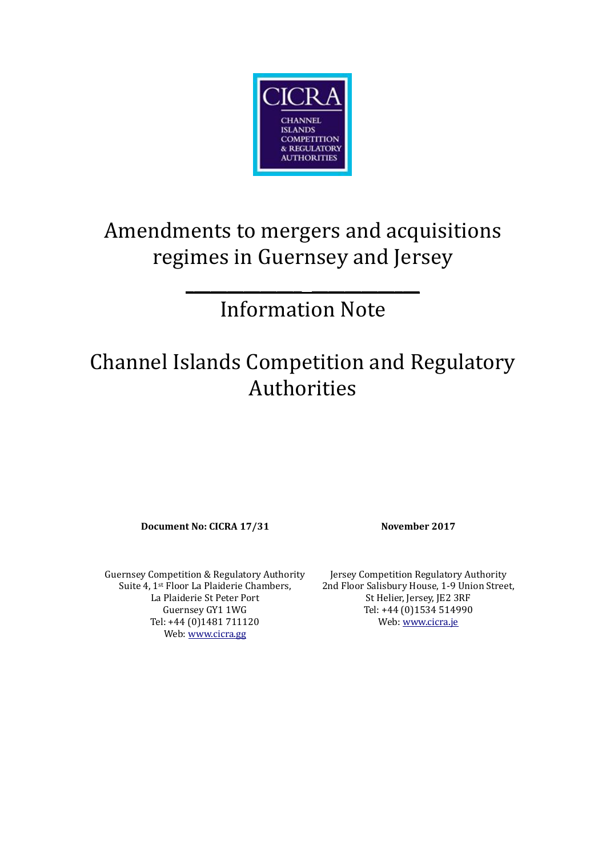

## Amendments to mergers and acquisitions regimes in Guernsey and Jersey

## Information Note

**\_\_\_\_\_\_\_\_\_\_\_\_\_\_ \_\_\_\_\_\_\_\_\_\_\_\_\_**

## Channel Islands Competition and Regulatory Authorities

**Document No: CICRA 17/31 November 2017**

Guernsey Competition & Regulatory Authority Suite 4, 1st Floor La Plaiderie Chambers, La Plaiderie St Peter Port Guernsey GY1 1WG Tel: +44 (0)1481 711120 Web: [www.cicra.gg](http://www.cicra.gg/)

Jersey Competition Regulatory Authority 2nd Floor Salisbury House, 1-9 Union Street, St Helier, Jersey, JE2 3RF Tel: +44 (0)1534 514990 Web: [www.cicra.je](http://www.cicra.je/)